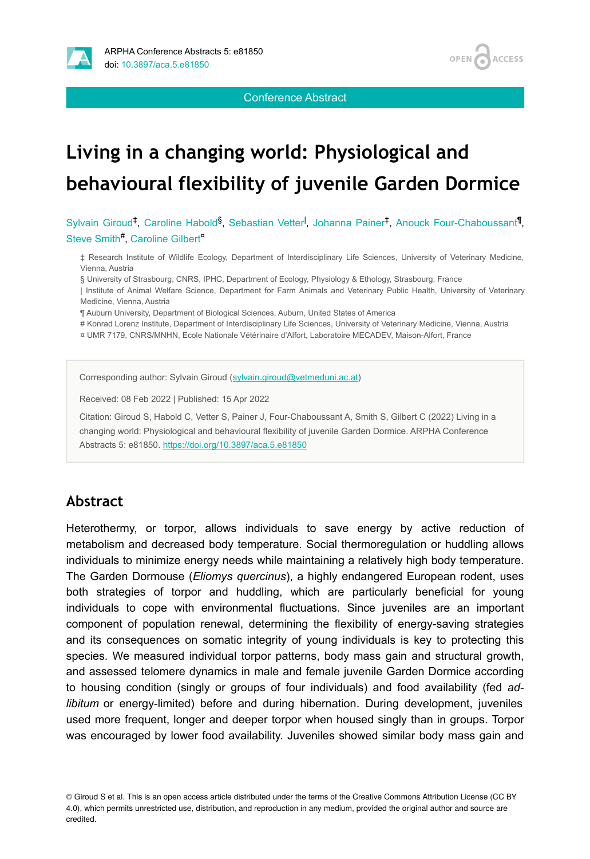

Conference Abstract

**OPEN** 

**ACCESS** 

# **Living in a changing world: Physiological and behavioural flexibility of juvenile Garden Dormice**

Sylvain Giroud<sup>‡</sup>, Caroline Habold<sup>§</sup>, Sebastian Vetter<sup>l</sup>, Johanna Painer<sup>‡</sup>, Anouck Four-Chaboussant<sup>¶</sup>, Steve Smith<sup>#</sup>, Caroline Gilbert<sup>¤</sup>

‡ Research Institute of Wildlife Ecology, Department of Interdisciplinary Life Sciences, University of Veterinary Medicine, Vienna, Austria

§ University of Strasbourg, CNRS, IPHC, Department of Ecology, Physiology & Ethology, Strasbourg, France

| Institute of Animal Welfare Science, Department for Farm Animals and Veterinary Public Health, University of Veterinary Medicine, Vienna, Austria

¶ Auburn University, Department of Biological Sciences, Auburn, United States of America

# Konrad Lorenz Institute, Department of Interdisciplinary Life Sciences, University of Veterinary Medicine, Vienna, Austria

¤ UMR 7179, CNRS/MNHN, Ecole Nationale Vétérinaire d'Alfort, Laboratoire MECADEV, Maison-Alfort, France

Corresponding author: Sylvain Giroud [\(sylvain.giroud@vetmeduni.ac.at\)](mailto:sylvain.giroud@vetmeduni.ac.at)

Received: 08 Feb 2022 | Published: 15 Apr 2022

Citation: Giroud S, Habold C, Vetter S, Painer J, Four-Chaboussant A, Smith S, Gilbert C (2022) Living in a changing world: Physiological and behavioural flexibility of juvenile Garden Dormice. ARPHA Conference Abstracts 5: e81850.<https://doi.org/10.3897/aca.5.e81850>

#### **Abstract**

Heterothermy, or torpor, allows individuals to save energy by active reduction of metabolism and decreased body temperature. Social thermoregulation or huddling allows individuals to minimize energy needs while maintaining a relatively high body temperature. The Garden Dormouse (*Eliomys quercinus*), a highly endangered European rodent, uses both strategies of torpor and huddling, which are particularly beneficial for young individuals to cope with environmental fluctuations. Since juveniles are an important component of population renewal, determining the flexibility of energy-saving strategies and its consequences on somatic integrity of young individuals is key to protecting this species. We measured individual torpor patterns, body mass gain and structural growth, and assessed telomere dynamics in male and female juvenile Garden Dormice according to housing condition (singly or groups of four individuals) and food availability (fed *adlibitum* or energy-limited) before and during hibernation. During development, juveniles used more frequent, longer and deeper torpor when housed singly than in groups. Torpor was encouraged by lower food availability. Juveniles showed similar body mass gain and

© Giroud S et al. This is an open access article distributed under the terms of the Creative Commons Attribution License (CC BY 4.0), which permits unrestricted use, distribution, and reproduction in any medium, provided the original author and source are credited.